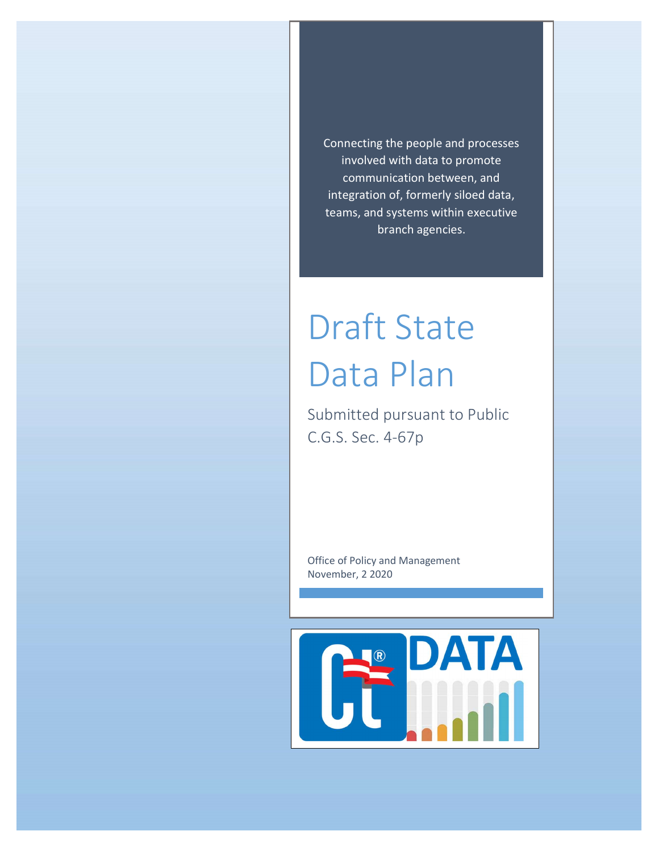Connecting the people and processes involved with data to promote communication between, and integration of, formerly siloed data, teams, and systems within executive branch agencies.

# Draft State Data Plan

Submitted pursuant to Public C.G.S. Sec. 4-67p

Office of Policy and Management November, 2 2020

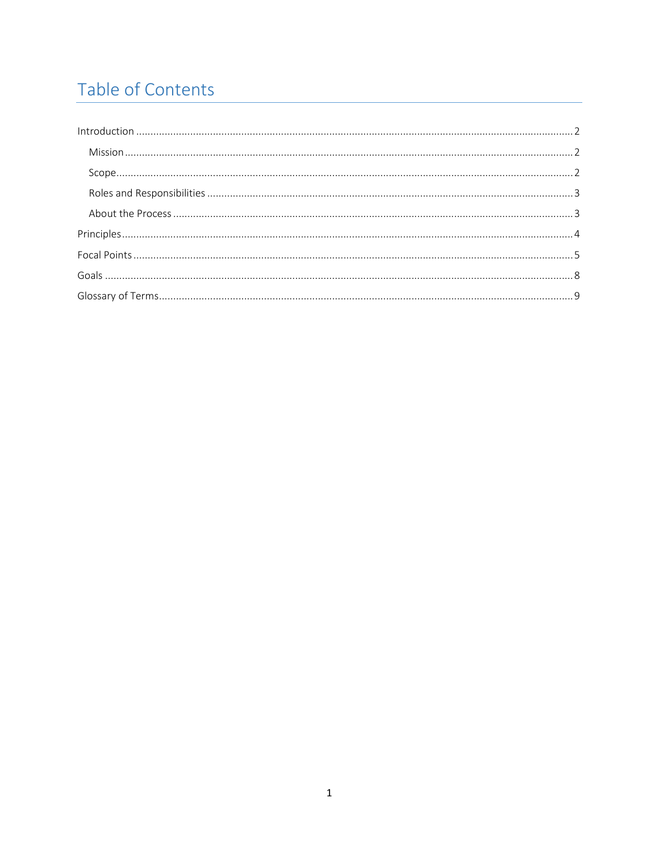# Table of Contents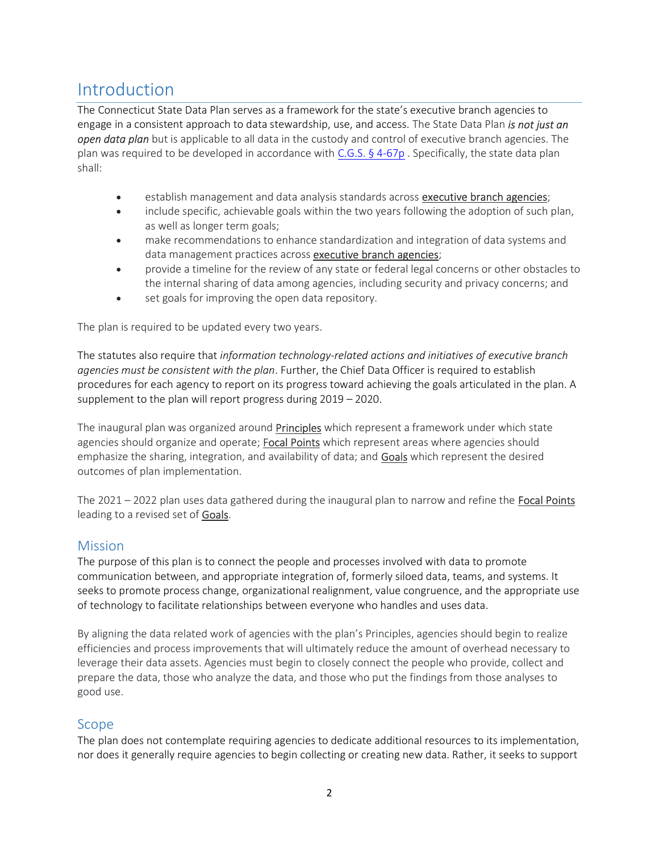# Introduction

The Connecticut State Data Plan serves as a framework for the state's executive branch agencies to engage in a consistent approach to data stewardship, use, and access. The State Data Plan is not just an **open data plan** but is applicable to all data in the custody and control of executive branch agencies. The plan was required to be developed in accordance with C.G.S. § 4-67p. Specifically, the state data plan shall:

- **e** establish management and data analysis standards across **executive branch agencies**;
- include specific, achievable goals within the two years following the adoption of such plan, as well as longer term goals;
- make recommendations to enhance standardization and integration of data systems and data management practices across executive branch agencies;
- provide a timeline for the review of any state or federal legal concerns or other obstacles to the internal sharing of data among agencies, including security and privacy concerns; and
- **set goals for improving the open data repository.**

The plan is required to be updated every two years.

The statutes also require that information technology-related actions and initiatives of executive branch agencies must be consistent with the plan. Further, the Chief Data Officer is required to establish procedures for each agency to report on its progress toward achieving the goals articulated in the plan. A supplement to the plan will report progress during 2019 – 2020.

The inaugural plan was organized around **Principles** which represent a framework under which state agencies should organize and operate; Focal Points which represent areas where agencies should emphasize the sharing, integration, and availability of data; and Goals which represent the desired outcomes of plan implementation.

The  $2021 - 2022$  plan uses data gathered during the inaugural plan to narrow and refine the **Focal Points** leading to a revised set of **Goals**.

### **Mission**

The purpose of this plan is to connect the people and processes involved with data to promote communication between, and appropriate integration of, formerly siloed data, teams, and systems. It seeks to promote process change, organizational realignment, value congruence, and the appropriate use of technology to facilitate relationships between everyone who handles and uses data.

By aligning the data related work of agencies with the plan's Principles, agencies should begin to realize efficiencies and process improvements that will ultimately reduce the amount of overhead necessary to leverage their data assets. Agencies must begin to closely connect the people who provide, collect and prepare the data, those who analyze the data, and those who put the findings from those analyses to good use.

### Scope

The plan does not contemplate requiring agencies to dedicate additional resources to its implementation, nor does it generally require agencies to begin collecting or creating new data. Rather, it seeks to support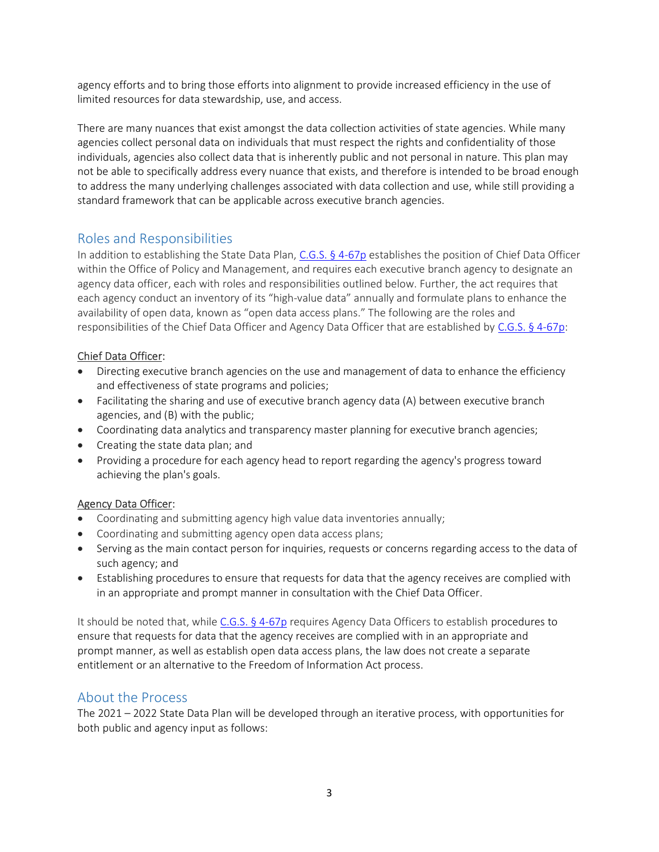agency efforts and to bring those efforts into alignment to provide increased efficiency in the use of limited resources for data stewardship, use, and access.

There are many nuances that exist amongst the data collection activities of state agencies. While many agencies collect personal data on individuals that must respect the rights and confidentiality of those individuals, agencies also collect data that is inherently public and not personal in nature. This plan may not be able to specifically address every nuance that exists, and therefore is intended to be broad enough to address the many underlying challenges associated with data collection and use, while still providing a standard framework that can be applicable across executive branch agencies.

### Roles and Responsibilities

In addition to establishing the State Data Plan, C.G.S. § 4-67p establishes the position of Chief Data Officer within the Office of Policy and Management, and requires each executive branch agency to designate an agency data officer, each with roles and responsibilities outlined below. Further, the act requires that each agency conduct an inventory of its "high-value data" annually and formulate plans to enhance the availability of open data, known as "open data access plans." The following are the roles and responsibilities of the Chief Data Officer and Agency Data Officer that are established by C.G.S. § 4-67p:

### Chief Data Officer:

- Directing executive branch agencies on the use and management of data to enhance the efficiency and effectiveness of state programs and policies;
- Facilitating the sharing and use of executive branch agency data (A) between executive branch agencies, and (B) with the public;
- Coordinating data analytics and transparency master planning for executive branch agencies;
- Creating the state data plan; and
- Providing a procedure for each agency head to report regarding the agency's progress toward achieving the plan's goals.

### Agency Data Officer:

- Coordinating and submitting agency high value data inventories annually;
- Coordinating and submitting agency open data access plans;
- Serving as the main contact person for inquiries, requests or concerns regarding access to the data of such agency; and
- Establishing procedures to ensure that requests for data that the agency receives are complied with in an appropriate and prompt manner in consultation with the Chief Data Officer.

It should be noted that, while C.G.S. § 4-67p requires Agency Data Officers to establish procedures to ensure that requests for data that the agency receives are complied with in an appropriate and prompt manner, as well as establish open data access plans, the law does not create a separate entitlement or an alternative to the Freedom of Information Act process.

### About the Process

The 2021 – 2022 State Data Plan will be developed through an iterative process, with opportunities for both public and agency input as follows: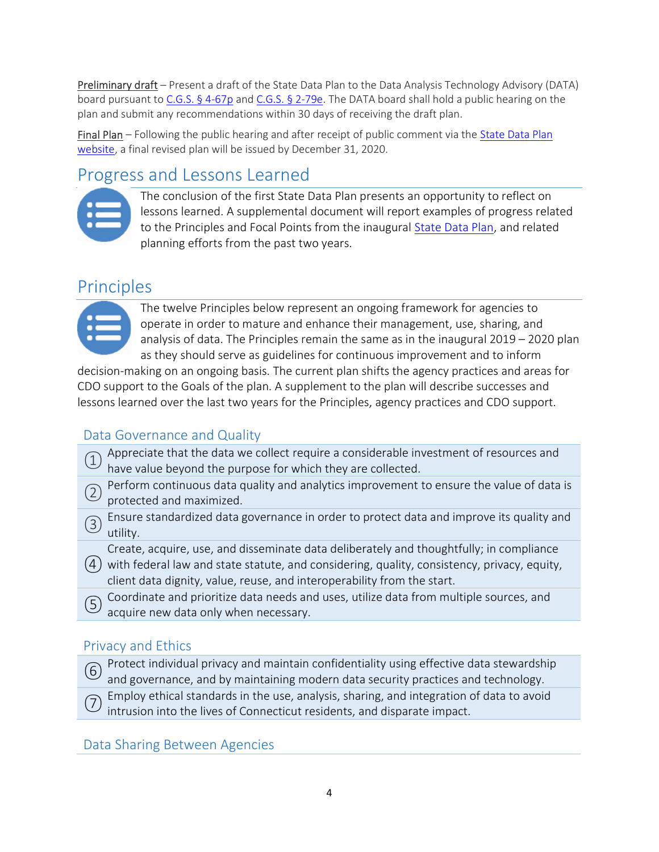Preliminary draft – Present a draft of the State Data Plan to the Data Analysis Technology Advisory (DATA) board pursuant to C.G.S. § 4-67p and C.G.S. § 2-79e. The DATA board shall hold a public hearing on the plan and submit any recommendations within 30 days of receiving the draft plan.

Final Plan – Following the public hearing and after receipt of public comment via the State Data Plan website, a final revised plan will be issued by December 31, 2020.

# Progress and Lessons Learned



The conclusion of the first State Data Plan presents an opportunity to reflect on lessons learned. A supplemental document will report examples of progress related to the Principles and Focal Points from the inaugural State Data Plan, and related planning efforts from the past two years.

## Principles



The twelve Principles below represent an ongoing framework for agencies to operate in order to mature and enhance their management, use, sharing, and analysis of data. The Principles remain the same as in the inaugural 2019 – 2020 plan as they should serve as guidelines for continuous improvement and to inform

decision-making on an ongoing basis. The current plan shifts the agency practices and areas for CDO support to the Goals of the plan. A supplement to the plan will describe successes and lessons learned over the last two years for the Principles, agency practices and CDO support.

### Data Governance and Quality

- Appreciate that the data we collect require a considerable investment of resources and have value beyond the purpose for which they are collected.
- Perform continuous data quality and analytics improvement to ensure the value of data is protected and maximized.
- **Ensure standardized data governance in order to protect data and improve its quality and improve its quality and** utility.

Create, acquire, use, and disseminate data deliberately and thoughtfully; in compliance

- ④ with federal law and state statute, and considering, quality, consistency, privacy, equity, client data dignity, value, reuse, and interoperability from the start.
- <sup>⑤</sup> Coordinate and prioritize data needs and uses, utilize data from multiple sources, and acquire new data only when necessary.

### Privacy and Ethics

- <sup>⑥</sup> Protect individual privacy and maintain confidentiality using effective data stewardship and governance, and by maintaining modern data security practices and technology.
- <sup>⑦</sup> Employ ethical standards in the use, analysis, sharing, and integration of data to avoid intrusion into the lives of Connecticut residents, and disparate impact.

Data Sharing Between Agencies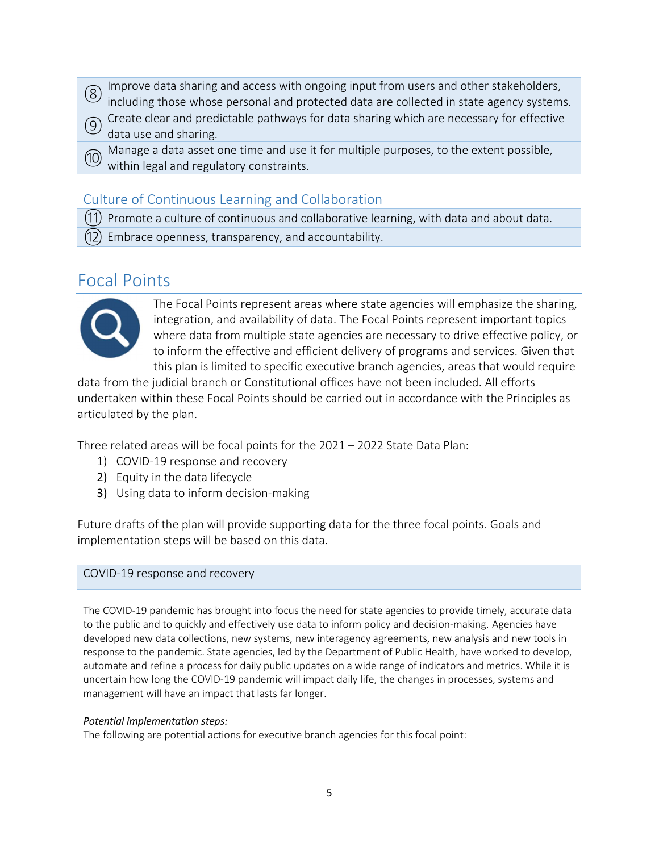- $\Omega$  Improve data sharing and access with ongoing input from users and other stakeholders, including those whose personal and protected data are collected in state agency systems.
- <sup>⑨</sup> Create clear and predictable pathways for data sharing which are necessary for effective data use and sharing.
- (i) Manage a data asset one time and use it for multiple purposes, to the extent possible, within legal and regulatory constraints.

### Culture of Continuous Learning and Collaboration

⑪ Promote a culture of continuous and collaborative learning, with data and about data.

 $(12)$  Embrace openness, transparency, and accountability.

### Focal Points



The Focal Points represent areas where state agencies will emphasize the sharing, integration, and availability of data. The Focal Points represent important topics where data from multiple state agencies are necessary to drive effective policy, or to inform the effective and efficient delivery of programs and services. Given that this plan is limited to specific executive branch agencies, areas that would require

data from the judicial branch or Constitutional offices have not been included. All efforts undertaken within these Focal Points should be carried out in accordance with the Principles as articulated by the plan.

Three related areas will be focal points for the 2021 – 2022 State Data Plan:

- 1) COVID-19 response and recovery
- 2) Equity in the data lifecycle
- 3) Using data to inform decision-making

Future drafts of the plan will provide supporting data for the three focal points. Goals and implementation steps will be based on this data.

### COVID-19 response and recovery

The COVID-19 pandemic has brought into focus the need for state agencies to provide timely, accurate data to the public and to quickly and effectively use data to inform policy and decision-making. Agencies have developed new data collections, new systems, new interagency agreements, new analysis and new tools in response to the pandemic. State agencies, led by the Department of Public Health, have worked to develop, automate and refine a process for daily public updates on a wide range of indicators and metrics. While it is uncertain how long the COVID-19 pandemic will impact daily life, the changes in processes, systems and management will have an impact that lasts far longer.

### Potential implementation steps:

The following are potential actions for executive branch agencies for this focal point: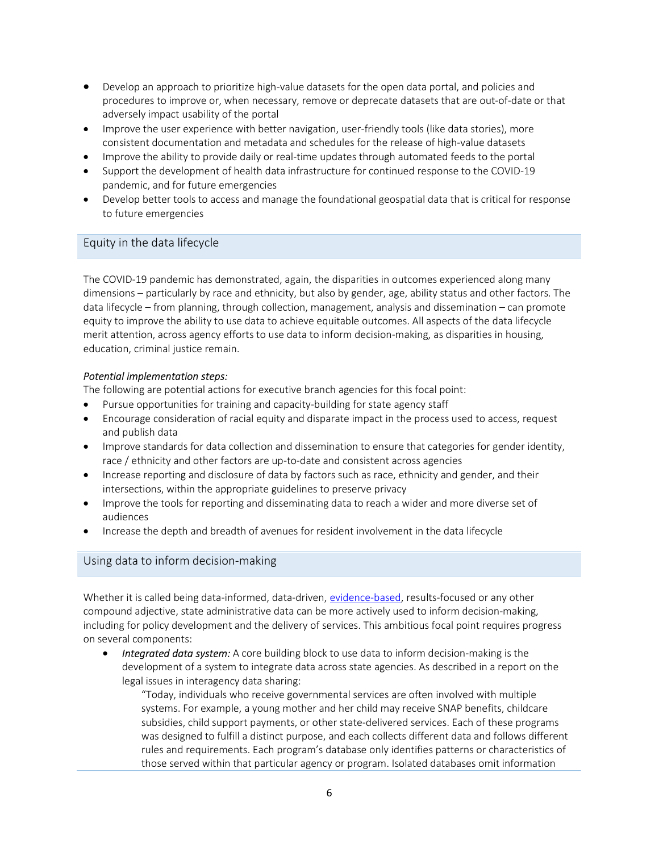- Develop an approach to prioritize high-value datasets for the open data portal, and policies and procedures to improve or, when necessary, remove or deprecate datasets that are out-of-date or that adversely impact usability of the portal
- Improve the user experience with better navigation, user-friendly tools (like data stories), more consistent documentation and metadata and schedules for the release of high-value datasets
- Improve the ability to provide daily or real-time updates through automated feeds to the portal
- Support the development of health data infrastructure for continued response to the COVID-19 pandemic, and for future emergencies
- Develop better tools to access and manage the foundational geospatial data that is critical for response to future emergencies

### Equity in the data lifecycle

The COVID-19 pandemic has demonstrated, again, the disparities in outcomes experienced along many dimensions – particularly by race and ethnicity, but also by gender, age, ability status and other factors. The data lifecycle – from planning, through collection, management, analysis and dissemination – can promote equity to improve the ability to use data to achieve equitable outcomes. All aspects of the data lifecycle merit attention, across agency efforts to use data to inform decision-making, as disparities in housing, education, criminal justice remain.

#### Potential implementation steps:

The following are potential actions for executive branch agencies for this focal point:

- Pursue opportunities for training and capacity-building for state agency staff
- Encourage consideration of racial equity and disparate impact in the process used to access, request and publish data
- Improve standards for data collection and dissemination to ensure that categories for gender identity, race / ethnicity and other factors are up-to-date and consistent across agencies
- Increase reporting and disclosure of data by factors such as race, ethnicity and gender, and their intersections, within the appropriate guidelines to preserve privacy
- Improve the tools for reporting and disseminating data to reach a wider and more diverse set of audiences
- Increase the depth and breadth of avenues for resident involvement in the data lifecycle

### Using data to inform decision-making

Whether it is called being data-informed, data-driven, evidence-based, results-focused or any other compound adjective, state administrative data can be more actively used to inform decision-making, including for policy development and the delivery of services. This ambitious focal point requires progress on several components:

Integrated data system: A core building block to use data to inform decision-making is the development of a system to integrate data across state agencies. As described in a report on the legal issues in interagency data sharing:

"Today, individuals who receive governmental services are often involved with multiple systems. For example, a young mother and her child may receive SNAP benefits, childcare subsidies, child support payments, or other state-delivered services. Each of these programs was designed to fulfill a distinct purpose, and each collects different data and follows different rules and requirements. Each program's database only identifies patterns or characteristics of those served within that particular agency or program. Isolated databases omit information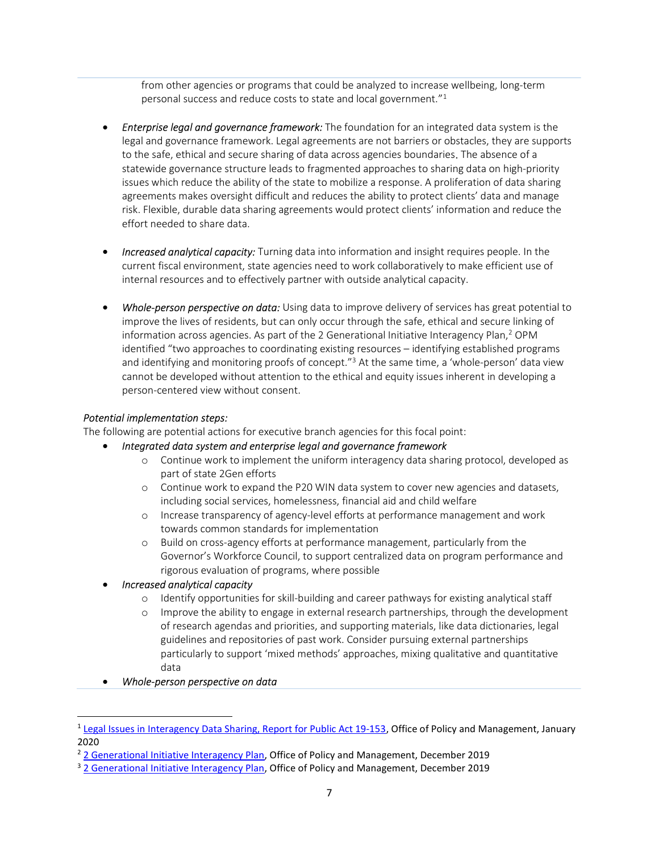from other agencies or programs that could be analyzed to increase wellbeing, long-term personal success and reduce costs to state and local government."<sup>1</sup>

- **Enterprise legal and governance framework:** The foundation for an integrated data system is the legal and governance framework. Legal agreements are not barriers or obstacles, they are supports to the safe, ethical and secure sharing of data across agencies boundaries. The absence of a statewide governance structure leads to fragmented approaches to sharing data on high-priority issues which reduce the ability of the state to mobilize a response. A proliferation of data sharing agreements makes oversight difficult and reduces the ability to protect clients' data and manage risk. Flexible, durable data sharing agreements would protect clients' information and reduce the effort needed to share data.
- **Increased analytical capacity:** Turning data into information and insight requires people. In the current fiscal environment, state agencies need to work collaboratively to make efficient use of internal resources and to effectively partner with outside analytical capacity.
- Whole-person perspective on data: Using data to improve delivery of services has great potential to improve the lives of residents, but can only occur through the safe, ethical and secure linking of information across agencies. As part of the 2 Generational Initiative Interagency Plan,<sup>2</sup> OPM identified "two approaches to coordinating existing resources – identifying established programs and identifying and monitoring proofs of concept."<sup>3</sup> At the same time, a 'whole-person' data view cannot be developed without attention to the ethical and equity issues inherent in developing a person-centered view without consent.

#### Potential implementation steps:

The following are potential actions for executive branch agencies for this focal point:

- Integrated data system and enterprise legal and governance framework
	- o Continue work to implement the uniform interagency data sharing protocol, developed as part of state 2Gen efforts
	- o Continue work to expand the P20 WIN data system to cover new agencies and datasets, including social services, homelessness, financial aid and child welfare
	- o Increase transparency of agency-level efforts at performance management and work towards common standards for implementation
	- o Build on cross-agency efforts at performance management, particularly from the Governor's Workforce Council, to support centralized data on program performance and rigorous evaluation of programs, where possible

### Increased analytical capacity

- o Identify opportunities for skill-building and career pathways for existing analytical staff
- o Improve the ability to engage in external research partnerships, through the development of research agendas and priorities, and supporting materials, like data dictionaries, legal guidelines and repositories of past work. Consider pursuing external partnerships particularly to support 'mixed methods' approaches, mixing qualitative and quantitative data

#### Whole-person perspective on data

<sup>1</sup> Legal Issues in Interagency Data Sharing, Report for Public Act 19-153, Office of Policy and Management, January 2020

<sup>&</sup>lt;sup>2</sup> 2 Generational Initiative Interagency Plan, Office of Policy and Management, December 2019

<sup>&</sup>lt;sup>3</sup> 2 Generational Initiative Interagency Plan, Office of Policy and Management, December 2019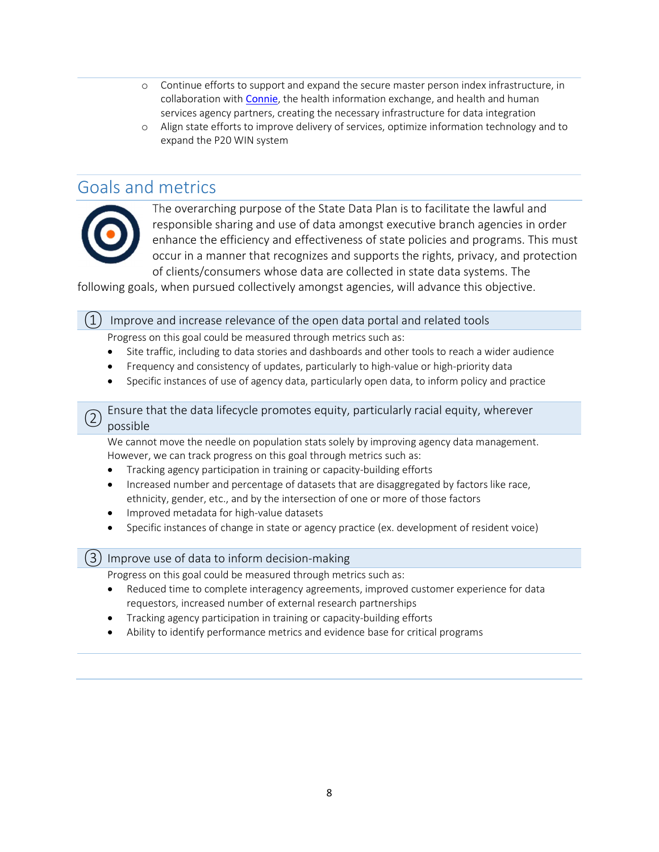- o Continue efforts to support and expand the secure master person index infrastructure, in collaboration with Connie, the health information exchange, and health and human services agency partners, creating the necessary infrastructure for data integration
- o Align state efforts to improve delivery of services, optimize information technology and to expand the P20 WIN system

### Goals and metrics



The overarching purpose of the State Data Plan is to facilitate the lawful and responsible sharing and use of data amongst executive branch agencies in order enhance the efficiency and effectiveness of state policies and programs. This must occur in a manner that recognizes and supports the rights, privacy, and protection of clients/consumers whose data are collected in state data systems. The

following goals, when pursued collectively amongst agencies, will advance this objective.

 $(1)$  Improve and increase relevance of the open data portal and related tools

Progress on this goal could be measured through metrics such as:

- Site traffic, including to data stories and dashboards and other tools to reach a wider audience
- Frequency and consistency of updates, particularly to high-value or high-priority data
- Specific instances of use of agency data, particularly open data, to inform policy and practice

<sup>②</sup> Ensure that the data lifecycle promotes equity, particularly racial equity, wherever possible

We cannot move the needle on population stats solely by improving agency data management. However, we can track progress on this goal through metrics such as:

- Tracking agency participation in training or capacity-building efforts
- Increased number and percentage of datasets that are disaggregated by factors like race, ethnicity, gender, etc., and by the intersection of one or more of those factors
- Improved metadata for high-value datasets
- Specific instances of change in state or agency practice (ex. development of resident voice)

### ③ Improve use of data to inform decision-making

Progress on this goal could be measured through metrics such as:

- Reduced time to complete interagency agreements, improved customer experience for data requestors, increased number of external research partnerships
- Tracking agency participation in training or capacity-building efforts
- Ability to identify performance metrics and evidence base for critical programs